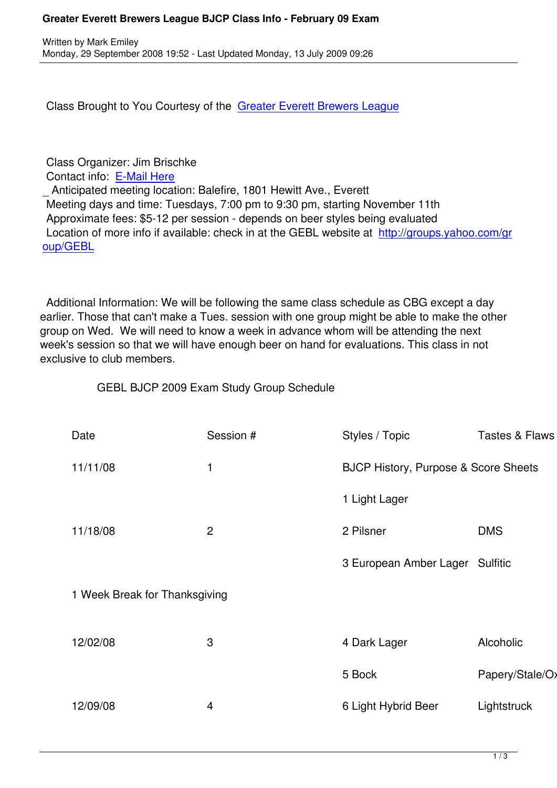Class Brought to You Courtesy of the Greater Everett Brewers League

## Class Organizer: Jim Brischke

Contact info: E-Mail Here

 Anticipated meeting location: Balefire, 1801 Hewitt Ave., Everett Meeting days and time: Tuesdays, 7:00 pm to 9:30 pm, starting November 11th Approximate [fees: \\$5-12 p](index.php?option=com_contact&task=view&contact_id=8&Itemid=)er session - depends on beer styles being evaluated  [L](index.php?option=com_contact&task=view&contact_id=8&Itemid=)ocation of more info if available: check in at the GEBL website at http://groups.yahoo.com/gr oup/GEBL

 [Additional](http://groups.yahoo.com/group/GEBL) Information: We will be following the same class schedule as CBG except a day earlier. Those that can't make a Tues. session with one group might be able to make the other group on Wed. We will need to know a week in advance whom will be attending the next week's session so that we will have enough beer on hand for evaluations. This class in not exclusive to club members.

GEBL BJCP 2009 Exam Study Group Schedule

| Date                          | Session #      | Styles / Topic                                  | <b>Tastes &amp; Flaws</b> |
|-------------------------------|----------------|-------------------------------------------------|---------------------------|
| 11/11/08                      | 1              | <b>BJCP History, Purpose &amp; Score Sheets</b> |                           |
|                               |                | 1 Light Lager                                   |                           |
| 11/18/08                      | $\overline{2}$ | 2 Pilsner                                       | <b>DMS</b>                |
|                               |                | 3 European Amber Lager Sulfitic                 |                           |
| 1 Week Break for Thanksgiving |                |                                                 |                           |
| 12/02/08                      | 3              | 4 Dark Lager                                    | Alcoholic                 |
|                               |                |                                                 |                           |
|                               |                | 5 Bock                                          | Papery/Stale/Oxidiz       |
| 12/09/08                      | 4              | 6 Light Hybrid Beer                             | Lightstruck               |
|                               |                |                                                 |                           |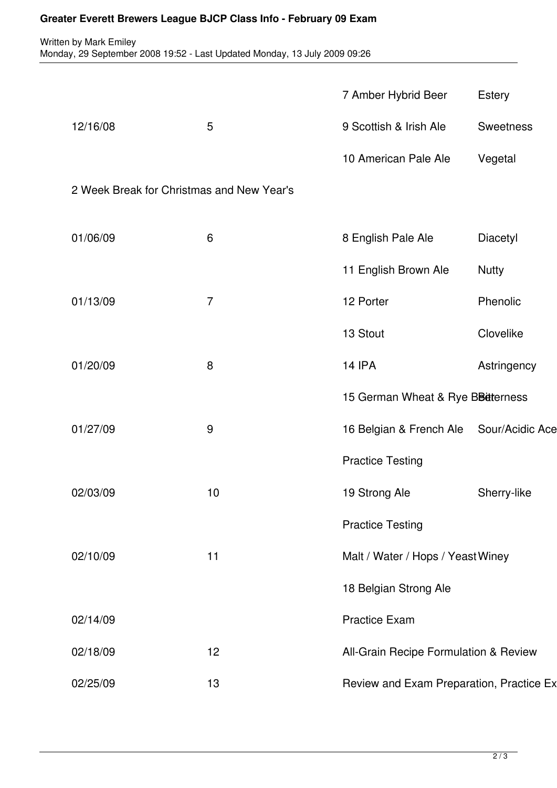## **Greater Everett Brewers League BJCP Class Info - February 09 Exam**

Written by Mark Emiley Monday, 29 September 2008 19:52 - Last Updated Monday, 13 July 2009 09:26

|                                           |                | 7 Amber Hybrid Beer                      | <b>Estery</b>    |
|-------------------------------------------|----------------|------------------------------------------|------------------|
| 12/16/08                                  | 5              | 9 Scottish & Irish Ale                   | <b>Sweetness</b> |
|                                           |                | 10 American Pale Ale                     | Vegetal          |
| 2 Week Break for Christmas and New Year's |                |                                          |                  |
| 01/06/09                                  | 6              | 8 English Pale Ale                       | Diacetyl         |
|                                           |                | 11 English Brown Ale                     | <b>Nutty</b>     |
| 01/13/09                                  | $\overline{7}$ | 12 Porter                                | Phenolic         |
|                                           |                | 13 Stout                                 | Clovelike        |
| 01/20/09                                  | 8              | <b>14 IPA</b>                            | Astringency      |
|                                           |                | 15 German Wheat & Rye BBetterness        |                  |
| 01/27/09                                  | 9              | 16 Belgian & French Ale                  | Sour/Acidic Ace  |
|                                           |                | <b>Practice Testing</b>                  |                  |
| 02/03/09                                  | 10             | 19 Strong Ale                            | Sherry-like      |
|                                           |                | <b>Practice Testing</b>                  |                  |
| 02/10/09                                  | 11             | Malt / Water / Hops / Yeast Winey        |                  |
|                                           |                | 18 Belgian Strong Ale                    |                  |
| 02/14/09                                  |                | <b>Practice Exam</b>                     |                  |
| 02/18/09                                  | 12             | All-Grain Recipe Formulation & Review    |                  |
| 02/25/09                                  | 13             | Review and Exam Preparation, Practice Ex |                  |